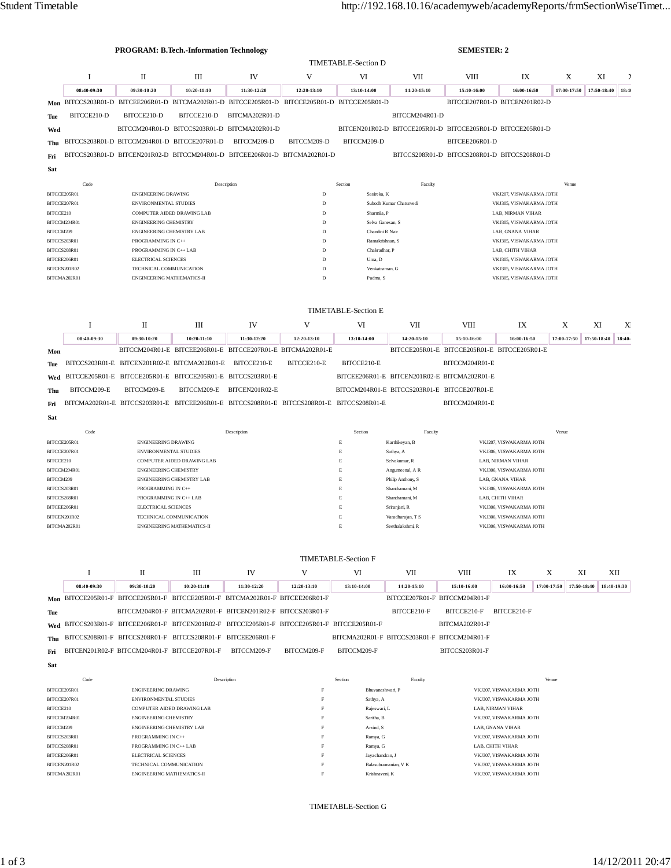|              |                                                   |                                              | <b>PROGRAM: B.Tech.-Information Technology</b> |                                                                                           |                                        |                            | <b>SEMESTER: 2</b>                                          |                         |                               |             |             |               |
|--------------|---------------------------------------------------|----------------------------------------------|------------------------------------------------|-------------------------------------------------------------------------------------------|----------------------------------------|----------------------------|-------------------------------------------------------------|-------------------------|-------------------------------|-------------|-------------|---------------|
|              |                                                   |                                              |                                                |                                                                                           |                                        | <b>TIMETABLE-Section D</b> |                                                             |                         |                               |             |             |               |
|              | I                                                 | $\mathbf{I}$                                 | Ш                                              | IV                                                                                        | V                                      | VI                         | <b>VII</b>                                                  | <b>VIII</b>             | IX                            | X           | XI          | $\rightarrow$ |
|              | 08:40-09:30                                       | 09:30-10:20                                  | 10:20-11:10                                    | 11:30-12:20                                                                               | 12:20-13:10                            | 13:10-14:00                | 14:20-15:10                                                 | 15:10-16:00             | 16:00-16:50                   | 17:00-17:50 | 17:50-18:40 | 18:40         |
| Mon          |                                                   |                                              |                                                | BITCCS203R01-D BITCEE206R01-D BITCMA202R01-D BITCCE205R01-D BITCCE205R01-D BITCCE205R01-D |                                        |                            |                                                             |                         | BITCCE207R01-D BITCEN201R02-D |             |             |               |
| Tue          | BITCCE210-D                                       | BITCCE210-D                                  | BITCCE210-D                                    | BITCMA202R01-D                                                                            |                                        |                            | BITCCM204R01-D                                              |                         |                               |             |             |               |
| Wed          |                                                   |                                              |                                                | BITCCM204R01-D BITCCS203R01-D BITCMA202R01-D                                              |                                        |                            | BITCEN201R02-D BITCCE205R01-D BITCCE205R01-D BITCCE205R01-D |                         |                               |             |             |               |
| Thu          |                                                   | BITCCS203R01-D BITCCM204R01-D BITCCE207R01-D |                                                | BITCCM209-D                                                                               | BITCCM209-D                            | BITCCM209-D                |                                                             | BITCEE206R01-D          |                               |             |             |               |
| Fri          |                                                   |                                              |                                                | BITCCS203R01-D BITCEN201R02-D BITCCM204R01-D BITCEE206R01-D BITCMA202R01-D                |                                        |                            | BITCCS208R01-D BITCCS208R01-D BITCCS208R01-D                |                         |                               |             |             |               |
|              |                                                   |                                              |                                                |                                                                                           |                                        |                            |                                                             |                         |                               |             |             |               |
| Sat          |                                                   |                                              |                                                |                                                                                           |                                        |                            |                                                             |                         |                               |             |             |               |
|              | Code<br>Description                               |                                              |                                                |                                                                                           |                                        | Section                    | Faculty                                                     |                         |                               | Venue       |             |               |
| BITCCE205R01 |                                                   | <b>ENGINEERING DRAWING</b>                   |                                                |                                                                                           | D                                      | Sasireka, K                |                                                             |                         | VKJ207, VISWAKARMA JOTH       |             |             |               |
| BITCCE207R01 |                                                   | <b>ENVIRONMENTAL STUDIES</b>                 |                                                |                                                                                           | $\mathbf D$<br>Subodh Kumar Chaturvedi |                            |                                                             | VKJ305, VISWAKARMA JOTH |                               |             |             |               |
| BITCCE210    |                                                   |                                              | COMPUTER AIDED DRAWING LAB                     |                                                                                           | Sharmila, P<br>D                       |                            | LAB. NIRMAN VIHAR                                           |                         |                               |             |             |               |
| BITCCM204R01 |                                                   | <b>ENGINEERING CHEMISTRY</b>                 |                                                |                                                                                           | D                                      | Selva Ganesan, S.          |                                                             | VKJ305, VISWAKARMA JOTH |                               |             |             |               |
| BITCCM209    |                                                   | ENGINEERING CHEMISTRY LAB                    |                                                |                                                                                           | D                                      | Chandini R Nair            |                                                             | LAB, GNANA VIHAR        |                               |             |             |               |
| BITCCS203R01 |                                                   | PROGRAMMING IN C++                           |                                                |                                                                                           |                                        | D<br>Ramakrishnan, S       |                                                             |                         | VKJ305, VISWAKARMA JOTH       |             |             |               |
| BITCCS208R01 |                                                   | PROGRAMMING IN C++ LAB                       |                                                |                                                                                           | D                                      | Chakradhar, P              |                                                             |                         | LAB. CHITH VIHAR              |             |             |               |
| BITCEE206R01 |                                                   | <b>ELECTRICAL SCIENCES</b>                   |                                                |                                                                                           | $\mathbf D$                            | Uma, D                     |                                                             |                         | VKJ305, VISWAKARMA JOTH       |             |             |               |
| BITCEN201R02 |                                                   | TECHNICAL COMMUNICATION                      |                                                |                                                                                           | D<br>Venkatraman, G                    |                            |                                                             | VKJ305, VISWAKARMA JOTH |                               |             |             |               |
|              | BITCMA202R01<br><b>ENGINEERING MATHEMATICS-II</b> |                                              |                                                | D<br>Padma, S                                                                             |                                        |                            | VKJ305, VISWAKARMA JOTH                                     |                         |                               |             |             |               |
|              |                                                   |                                              |                                                |                                                                                           |                                        | <b>TIMETABLE-Section E</b> |                                                             |                         |                               |             |             |               |
|              | I                                                 | П                                            | III                                            | IV                                                                                        | V                                      | VI                         | <b>VII</b>                                                  | <b>VIII</b>             | IX                            | X           | XI          | X             |
|              | 08:40-09:30                                       | 09:30-10:20                                  | 10:20-11:10                                    | 11:30-12:20                                                                               | 12:20-13:10                            | 13:10-14:00                | 14:20-15:10                                                 | 15:10-16:00             | 16:00-16:50                   | 17:00-17:50 | 17:50-18:40 | $18:40-$      |

|     | ----------  |                                                                                               |                            |             |             |                                              |                                              |  |  |
|-----|-------------|-----------------------------------------------------------------------------------------------|----------------------------|-------------|-------------|----------------------------------------------|----------------------------------------------|--|--|
| Mon |             | BITCCM204R01-E BITCEE206R01-E BITCCE207R01-E BITCMA202R01-E                                   |                            |             |             |                                              | BITCCE205R01-E BITCCE205R01-E BITCCE205R01-E |  |  |
|     |             | The BITCCS203R01-E BITCEN201R02-E BITCMA202R01-E BITCCE210-E                                  |                            | BITCCE210-E | BITCCE210-E |                                              | BITCCM204R01-E                               |  |  |
|     |             | Wed BITCCE205R01-E BITCCE205R01-E BITCCE205R01-E BITCCS203R01-E                               |                            |             |             | BITCEE206R01-E BITCEN201R02-E BITCMA202R01-E |                                              |  |  |
| Thu | BITCCM209-E | BITCCM209-E                                                                                   | BITCCM209-E BITCEN201R02-E |             |             | BITCCM204R01-E BITCCS203R01-E BITCCE207R01-E |                                              |  |  |
|     |             | Fri BITCMA202R01-E BITCCS203R01-E BITCEE206R01-E BITCCS208R01-E BITCCS208R01-E BITCCS208R01-E |                            |             |             |                                              | BITCCM204R01-E                               |  |  |

|              | Code | Description                       | Section | Faculty           |                         | Venue |
|--------------|------|-----------------------------------|---------|-------------------|-------------------------|-------|
| BITCCE205R01 |      | <b>ENGINEERING DRAWING</b>        | E       | Karthikeyan, B    | VKJ207, VISWAKARMA JOTH |       |
| BITCCE207R01 |      | <b>ENVIRONMENTAL STUDIES</b>      | E       | Sathya, A         | VKJ306, VISWAKARMA JOTH |       |
| BITCCE210    |      | <b>COMPUTER AIDED DRAWING LAB</b> | E       | Selvakumar, R     | LAB. NIRMAN VIHAR       |       |
| BITCCM204R01 |      | <b>ENGINEERING CHEMISTRY</b>      | E       | Angumeenal, A R   | VKJ306, VISWAKARMA JOTH |       |
| BITCCM209    |      | <b>ENGINEERING CHEMISTRY LAB</b>  | E       | Philip Anthony, S | LAB, GNANA VIHAR        |       |
| BITCCS203R01 |      | PROGRAMMING IN C++                | E       | Shanthamani, M    | VKJ306, VISWAKARMA JOTH |       |
| BITCCS208R01 |      | PROGRAMMING IN C++ LAB            | E       | Shanthamani, M    | LAB. CHITH VIHAR        |       |
| BITCEE206R01 |      | <b>ELECTRICAL SCIENCES</b>        | E       | Sriranjani, R     | VKJ306, VISWAKARMA JOTH |       |
| BITCEN201R02 |      | TECHNICAL COMMUNICATION           | Е       | Varadharajan, T S | VKJ306, VISWAKARMA JOTH |       |
| BITCMA202R01 |      | <b>ENGINEERING MATHEMATICS-II</b> | Е       | Seethalakshmi, R  | VKJ306, VISWAKARMA JOTH |       |

## TIMETABLE-Section F

|     |             | П                                                | Ш             | IV                                                                                            |             | VI          | VII         | VIII                                         | IX          |               | XI                          | XІІ |
|-----|-------------|--------------------------------------------------|---------------|-----------------------------------------------------------------------------------------------|-------------|-------------|-------------|----------------------------------------------|-------------|---------------|-----------------------------|-----|
|     | 08:40-09:30 | 09:30-10:20                                      | $10:20-11:10$ | 11:30-12:20                                                                                   | 12:20-13:10 | 13:10-14:00 | 14:20-15:10 | 15:10-16:00                                  | 16:00-16:50 | $17:00-17:50$ | $17:50-18:40$   18:40-19:30 |     |
|     |             |                                                  |               | Mon BITCCE205R01-F BITCCE205R01-F BITCCE205R01-F BITCMA202R01-F BITCEE206R01-F                |             |             |             | BITCCE207R01-F BITCCM204R01-F                |             |               |                             |     |
| Tue |             |                                                  |               | BITCCM204R01-F BITCMA202R01-F BITCEN201R02-F BITCCS203R01-F                                   |             |             | BITCCE210-F | BITCCE210-F                                  | BITCCE210-F |               |                             |     |
|     |             |                                                  |               | Wed BITCCS203R01-F BITCEE206R01-F BITCEN201R02-F BITCCE205R01-F BITCCE205R01-F BITCCE205R01-F |             |             |             | BITCMA202R01-F                               |             |               |                             |     |
|     |             |                                                  |               | Thu BITCCS208R01-F BITCCS208R01-F BITCCS208R01-F BITCEE206R01-F                               |             |             |             | BITCMA202R01-F BITCCS203R01-F BITCCM204R01-F |             |               |                             |     |
|     |             | Fri BITCEN201R02-F BITCCM204R01-F BITCCE207R01-F |               | BITCCM209-F                                                                                   | BITCCM209-F | BITCCM209-F |             | BITCCS203R01-F                               |             |               |                             |     |
|     |             |                                                  |               |                                                                                               |             |             |             |                                              |             |               |                             |     |

**Sat**

**Sat**

| Code         | Description                       | Section | Faculty              | Venue                   |
|--------------|-----------------------------------|---------|----------------------|-------------------------|
| BITCCE205R01 | <b>ENGINEERING DRAWING</b>        |         | Bhuvaneshwari, P     | VKJ207. VISWAKARMA JOTH |
| BITCCE207R01 | <b>ENVIRONMENTAL STUDIES</b>      |         | Sathya, A            | VKJ307, VISWAKARMA JOTH |
| BITCCE210    | <b>COMPUTER AIDED DRAWING LAB</b> |         | Rajeswari, L         | LAB. NIRMAN VIHAR       |
| BITCCM204R01 | <b>ENGINEERING CHEMISTRY</b>      | п.      | Saritha, B           | VKJ307, VISWAKARMA JOTH |
| BITCCM209    | <b>ENGINEERING CHEMISTRY LAB</b>  |         | Arvind, S            | LAB, GNANA VIHAR        |
| BITCCS203R01 | PROGRAMMING IN C++                |         | Ramya, G             | VKJ307, VISWAKARMA JOTH |
| BITCCS208R01 | PROGRAMMING IN C++ LAB            |         | Ramya, G             | LAB. CHITH VIHAR        |
| BITCEE206R01 | <b>ELECTRICAL SCIENCES</b>        |         | Jayachandran, J      | VKJ307, VISWAKARMA JOTH |
| BITCEN201R02 | TECHNICAL COMMUNICATION           |         | Balasubramanian, V K | VKJ307, VISWAKARMA JOTH |
| BITCMA202R01 | <b>ENGINEERING MATHEMATICS-II</b> |         | Krishnaveni, K       | VKJ307, VISWAKARMA JOTH |
|              |                                   |         |                      |                         |

TIMETABLE-Section G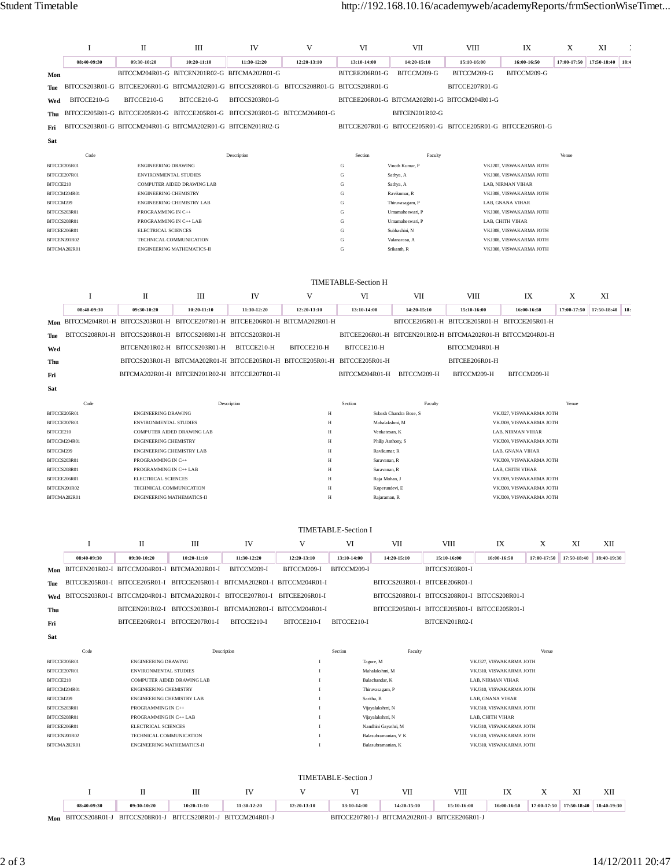|                              | 1           | П                                                   | Ш                                                                                         | IV             | V                | VI                                   | VII                                |         | VIII                                                        | IX                                           | X                       | XI          |      |
|------------------------------|-------------|-----------------------------------------------------|-------------------------------------------------------------------------------------------|----------------|------------------|--------------------------------------|------------------------------------|---------|-------------------------------------------------------------|----------------------------------------------|-------------------------|-------------|------|
|                              | 08:40-09:30 | 09:30-10:20                                         | 10:20-11:10                                                                               | 11:30-12:20    | 12:20-13:10      | 13:10-14:00                          | 14:20-15:10                        |         | 15:10-16:00                                                 | 16:00-16:50                                  | 17:00-17:50             | 17:50-18:40 | 18:4 |
| Mon                          |             |                                                     | BITCCM204R01-G BITCEN201R02-G BITCMA202R01-G                                              |                |                  | BITCEE206R01-G                       | BITCCM209-G                        |         | BITCCM209-G                                                 | BITCCM209-G                                  |                         |             |      |
| Tue                          |             |                                                     | BITCCS203R01-G BITCEE206R01-G BITCMA202R01-G BITCCS208R01-G BITCCS208R01-G BITCCS208R01-G |                |                  |                                      |                                    |         | BITCCE207R01-G                                              |                                              |                         |             |      |
| Wed                          | BITCCE210-G | BITCCE210-G                                         | BITCCE210-G                                                                               | BITCCS203R01-G |                  |                                      |                                    |         | BITCEE206R01-G BITCMA202R01-G BITCCM204R01-G                |                                              |                         |             |      |
| Thu                          |             |                                                     | BITCCE205R01-G BITCCE205R01-G BITCCE205R01-G BITCCS203R01-G BITCCM204R01-G                |                |                  |                                      | BITCEN201R02-G                     |         |                                                             |                                              |                         |             |      |
| Fri                          |             |                                                     | BITCCS203R01-G BITCCM204R01-G BITCMA202R01-G BITCEN201R02-G                               |                |                  |                                      |                                    |         | BITCCE207R01-G BITCCE205R01-G BITCCE205R01-G BITCCE205R01-G |                                              |                         |             |      |
| Sat                          |             |                                                     |                                                                                           |                |                  |                                      |                                    |         |                                                             |                                              |                         |             |      |
|                              | Code        |                                                     |                                                                                           | Description    |                  | Section                              |                                    | Faculty |                                                             |                                              | Venue                   |             |      |
| BITCCE205R01                 |             | ENGINEERING DRAWING                                 |                                                                                           |                |                  | ${\bf G}$                            | Vinoth Kumar, P                    |         |                                                             | VKJ207, VISWAKARMA JOTH                      |                         |             |      |
| BITCCE207R01<br>BITCCE210    |             | <b>ENVIRONMENTAL STUDIES</b>                        | COMPUTER AIDED DRAWING LAB                                                                |                |                  | G<br>G                               | Sathya, A<br>Sathya, A             |         |                                                             | VKJ308, VISWAKARMA JOTH<br>LAB, NIRMAN VIHAR |                         |             |      |
| BITCCM204R01                 |             | <b>ENGINEERING CHEMISTRY</b>                        |                                                                                           |                |                  | G                                    | Ravikumar, R                       |         |                                                             | VKJ308, VISWAKARMA JOTH                      |                         |             |      |
| BITCCM209                    |             |                                                     | ENGINEERING CHEMISTRY LAB                                                                 |                |                  | G                                    | Thiruvasagam, P                    |         |                                                             | LAB, GNANA VIHAR                             |                         |             |      |
| BITCCS203R01<br>BITCCS208R01 |             | PROGRAMMING IN C++<br>PROGRAMMING IN C++ LAB        |                                                                                           |                |                  | ${\bf G}$<br>${\bf G}$               | Umamaheswari, P<br>Umamaheswari, P |         |                                                             | VKJ308, VISWAKARMA JOTH<br>LAB, CHITH VIHAR  |                         |             |      |
| BITCEE206R01                 |             | ELECTRICAL SCIENCES                                 |                                                                                           |                |                  | ${\bf G}$                            | Subhashini, N                      |         |                                                             | VKJ308, VISWAKARMA JOTH                      |                         |             |      |
| BITCEN201R02                 |             |                                                     | TECHNICAL COMMUNICATION                                                                   |                |                  | ${\bf G}$                            | Valanarasu, A                      |         |                                                             | VKJ308, VISWAKARMA JOTH                      |                         |             |      |
| BITCMA202R01                 |             |                                                     | <b>ENGINEERING MATHEMATICS-II</b>                                                         |                |                  | ${\bf G}$                            | Srikanth, R                        |         |                                                             | VKJ308, VISWAKARMA JOTH                      |                         |             |      |
|                              |             |                                                     |                                                                                           |                |                  | <b>TIMETABLE-Section H</b>           |                                    |         |                                                             |                                              |                         |             |      |
|                              | Ι           | П                                                   | Ш                                                                                         | IV             | V                | VI                                   | VII                                |         | VIII                                                        | IX                                           | X                       | XI          |      |
|                              | 08:40-09:30 | 09:30-10:20                                         | $10:20 - 11:10$                                                                           | 11:30-12:20    | 12:20-13:10      | 13:10-14:00                          | 14:20-15:10                        |         | 15:10-16:00                                                 | 16:00-16:50                                  | 17:00-17:50             | 17:50-18:40 | 18:  |
|                              |             |                                                     | Mon BITCCM204R01-H BITCCS203R01-H BITCCE207R01-H BITCEE206R01-H BITCMA202R01-H            |                |                  |                                      |                                    |         | BITCCE205R01-H BITCCE205R01-H BITCCE205R01-H                |                                              |                         |             |      |
| Tue                          |             |                                                     | BITCCS208R01-H BITCCS208R01-H BITCCS208R01-H BITCCS203R01-H                               |                |                  |                                      |                                    |         | BITCEE206R01-H BITCEN201R02-H BITCMA202R01-H BITCCM204R01-H |                                              |                         |             |      |
| Wed                          |             |                                                     | BITCEN201R02-H BITCCS203R01-H                                                             | BITCCE210-H    | BITCCE210-H      | BITCCE210-H                          |                                    |         | BITCCM204R01-H                                              |                                              |                         |             |      |
| Thu                          |             |                                                     | BITCCS203R01-H BITCMA202R01-H BITCCE205R01-H BITCCE205R01-H BITCCE205R01-H                |                |                  |                                      |                                    |         | BITCEE206R01-H                                              |                                              |                         |             |      |
| Fri                          |             |                                                     | BITCMA202R01-H BITCEN201R02-H BITCCE207R01-H                                              |                |                  |                                      | BITCCM204R01-H BITCCM209-H         |         | BITCCM209-H                                                 | BITCCM209-H                                  |                         |             |      |
| Sat                          |             |                                                     |                                                                                           |                |                  |                                      |                                    |         |                                                             |                                              |                         |             |      |
|                              | Code        |                                                     |                                                                                           | Description    |                  | Section                              |                                    | Faculty |                                                             |                                              | Venue                   |             |      |
| BITCCE205R01                 |             | <b>ENGINEERING DRAWING</b>                          |                                                                                           |                | $\mathbf H$      |                                      | Subash Chandra Bose, S             |         |                                                             | VKJ327, VISWAKARMA JOTH                      |                         |             |      |
| BITCCE207R01                 |             | <b>ENVIRONMENTAL STUDIES</b>                        |                                                                                           |                | $\mathbf H$      |                                      | Mahalakshmi, M                     |         |                                                             | VKJ309, VISWAKARMA JOTH                      |                         |             |      |
| BITCCE210<br>BITCCM204R01    |             | <b>ENGINEERING CHEMISTRY</b>                        | COMPUTER AIDED DRAWING LAB                                                                |                | H<br>$\mathbf H$ |                                      | Venkatesan, K<br>Philip Anthony, S |         |                                                             | LAB, NIRMAN VIHAR<br>VKJ309, VISWAKARMA JOTH |                         |             |      |
| BITCCM209                    |             | ENGINEERING CHEMISTRY LAB                           |                                                                                           |                | H                |                                      | Ravikumar, R                       |         |                                                             | LAB, GNANA VIHAR                             |                         |             |      |
| BITCCS203R01                 |             | PROGRAMMING IN C++                                  |                                                                                           |                | Н                |                                      | Saravanan, R                       |         |                                                             | VKJ309, VISWAKARMA JOTH                      |                         |             |      |
| BITCCS208R01<br>BITCEE206R01 |             | PROGRAMMING IN C++ LAB<br>ELECTRICAL SCIENCES       |                                                                                           |                | H<br>H           |                                      | Saravanan, R<br>Raja Mohan, J      |         |                                                             | LAB, CHITH VIHAR<br>VKJ309, VISWAKARMA JOTH  |                         |             |      |
| BITCEN201R02                 |             | TECHNICAL COMMUNICATION                             |                                                                                           |                | H                |                                      | Koperundevi, E                     |         |                                                             | VKJ309, VISWAKARMA JOTH                      |                         |             |      |
| BITCMA202R01                 |             | <b>ENGINEERING MATHEMATICS-II</b>                   |                                                                                           |                | H                |                                      | Rajaraman, R                       |         |                                                             | VKJ309, VISWAKARMA JOTH                      |                         |             |      |
|                              |             |                                                     |                                                                                           |                |                  | <b>TIMETABLE-Section I</b>           |                                    |         |                                                             |                                              |                         |             |      |
|                              | I           | П                                                   | Ш                                                                                         | IV             | V                | VI                                   | VII                                |         | <b>VIII</b><br>IX                                           | X                                            | XI                      | XII         |      |
|                              | 08:40-09:30 | 09:30-10:20                                         | 10:20-11:10                                                                               | 11:30-12:20    | 12:20-13:10      | 13:10-14:00                          | 14:20-15:10                        |         | 15:10-16:00<br>16:00-16:50                                  | 17:00-17:50                                  | 17:50-18:40             | 18:40-19:30 |      |
|                              |             | Mon BITCEN201R02-I BITCCM204R01-I BITCMA202R01-I    |                                                                                           | BITCCM209-I    | BITCCM209-I      | BITCCM209-I                          |                                    |         | BITCCS203R01-I                                              |                                              |                         |             |      |
| Tue                          |             |                                                     | BITCCE205R01-I BITCCE205R01-I BITCCE205R01-I BITCMA202R01-I BITCCM204R01-I                |                |                  |                                      | BITCCS203R01-I BITCEE206R01-I      |         |                                                             |                                              |                         |             |      |
| Wed                          |             |                                                     | BITCCS203R01-I BITCCM204R01-I BITCMA202R01-I BITCCE207R01-I BITCEE206R01-I                |                |                  |                                      |                                    |         | BITCCS208R01-I BITCCS208R01-I BITCCS208R01-I                |                                              |                         |             |      |
| Thu                          |             |                                                     | BITCEN201R02-I BITCCS203R01-I BITCMA202R01-I BITCCM204R01-I                               |                |                  |                                      |                                    |         | BITCCE205R01-I BITCCE205R01-I BITCCE205R01-I                |                                              |                         |             |      |
| Fri                          |             | BITCEE206R01-I BITCCE207R01-I                       |                                                                                           | BITCCE210-I    | BITCCE210-I      | BITCCE210-I                          |                                    |         | BITCEN201R02-I                                              |                                              |                         |             |      |
| Sat                          |             |                                                     |                                                                                           |                |                  |                                      |                                    |         |                                                             |                                              |                         |             |      |
|                              | Code        |                                                     | Description                                                                               |                |                  | Section                              | Faculty                            |         |                                                             |                                              | Venue                   |             |      |
| BITCCE205R01                 |             | <b>ENGINEERING DRAWING</b>                          |                                                                                           |                | $\mathbf I$      | Tagore, M                            |                                    |         |                                                             | VKJ327, VISWAKARMA JOTH                      |                         |             |      |
| BITCCE207R01<br>BITCCE210    |             | ENVIRONMENTAL STUDIES<br>COMPUTER AIDED DRAWING LAB |                                                                                           |                | Т<br>л           | Mahalakshmi, M<br>Balachandar, K     |                                    |         | LAB, NIRMAN VIHAR                                           | VKJ310, VISWAKARMA JOTH                      |                         |             |      |
| BITCCM204R01                 |             | <b>ENGINEERING CHEMISTRY</b>                        |                                                                                           |                | Т                | Thiruvasagam, P                      |                                    |         |                                                             | VKJ310, VISWAKARMA JOTH                      |                         |             |      |
| BITCCM209                    |             | ENGINEERING CHEMISTRY LAB                           |                                                                                           |                | T                | Saritha, B                           |                                    |         | LAB, GNANA VIHAR                                            |                                              |                         |             |      |
| BITCCS203R01<br>BITCCS208R01 |             | PROGRAMMING IN C++<br>PROGRAMMING IN C++ LAB        |                                                                                           |                | T<br>T           | Vijayalakshmi, N<br>Vijayalakshmi, N |                                    |         | LAB, CHITH VIHAR                                            | VKJ310, VISWAKARMA JOTH                      |                         |             |      |
| BITCEE206R01                 |             | ELECTRICAL SCIENCES                                 |                                                                                           |                | $\mathbf{I}$     |                                      | Nandhini Gayathri, M               |         |                                                             | VKJ310, VISWAKARMA JOTH                      |                         |             |      |
| BITCEN201R02                 |             | TECHNICAL COMMUNICATION                             |                                                                                           |                | л                |                                      | Balasubramanian, V K               |         |                                                             | VKJ310, VISWAKARMA JOTH                      |                         |             |      |
| BITCMA202R01                 |             | ENGINEERING MATHEMATICS-II                          |                                                                                           |                |                  |                                      | Balasubramanian, K                 |         |                                                             | VKJ310, VISWAKARMA JOTH                      |                         |             |      |
|                              |             |                                                     |                                                                                           |                |                  | <b>TIMETABLE-Section J</b>           |                                    |         |                                                             |                                              |                         |             |      |
|                              | 1           | П                                                   | Ш                                                                                         | IV             | V                | VI                                   | VII                                |         | <b>VIII</b>                                                 | X<br>IX                                      | XI                      | XII         |      |
|                              | 08:40-09:30 | 09:30-10:20                                         | 10:20-11:10                                                                               | 11:30-12:20    | 12:20-13:10      | 13:10-14:00                          | 14:20-15:10                        |         | 15:10-16:00                                                 | 16:00-16:50                                  | 17:00-17:50 17:50-18:40 | 18:40-19:30 |      |

**Mon** BITCCS208R01-J BITCCS208R01-J BITCCS208R01-J BITCCM204R01-J BITCCE207R01-J BITCMA202R01-J BITCEE206R01-J